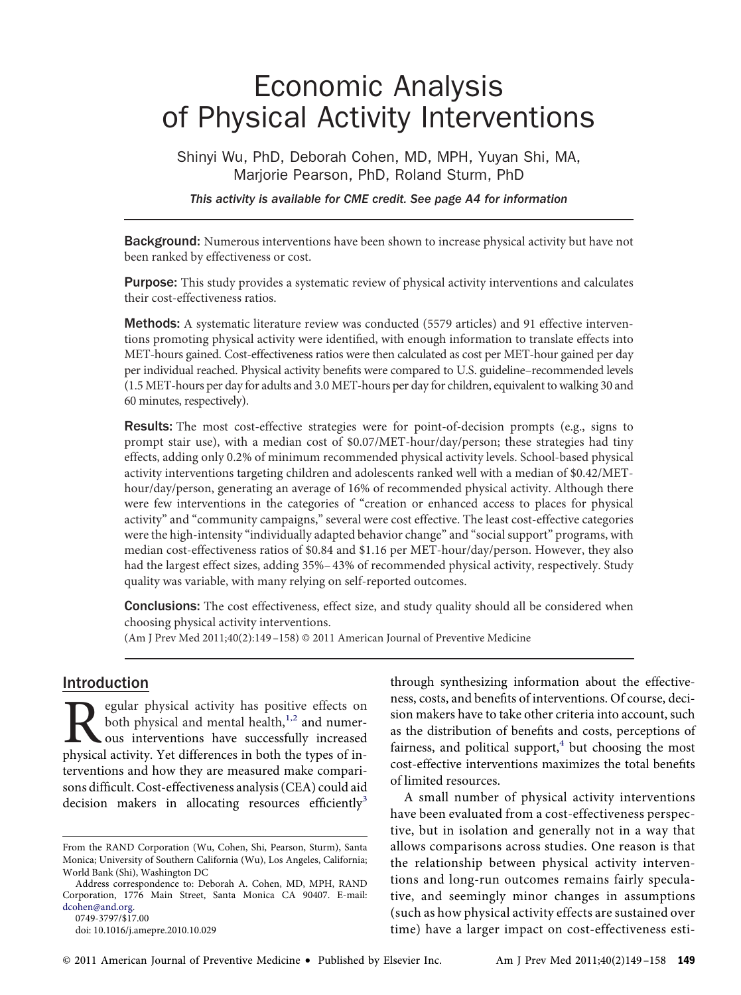# Economic Analysis of Physical Activity Interventions

Shinyi Wu, PhD, Deborah Cohen, MD, MPH, Yuyan Shi, MA, Marjorie Pearson, PhD, Roland Sturm, PhD

*This activity is available for CME credit. See page A4 for information*

Background: Numerous interventions have been shown to increase physical activity but have not been ranked by effectiveness or cost.

Purpose: This study provides a systematic review of physical activity interventions and calculates their cost-effectiveness ratios.

Methods: A systematic literature review was conducted (5579 articles) and 91 effective interventions promoting physical activity were identifıed, with enough information to translate effects into MET-hours gained. Cost-effectiveness ratios were then calculated as cost per MET-hour gained per day per individual reached. Physical activity benefıts were compared to U.S. guideline–recommended levels (1.5 MET-hours per day for adults and 3.0 MET-hours per day for children, equivalent to walking 30 and 60 minutes, respectively).

Results: The most cost-effective strategies were for point-of-decision prompts (e.g., signs to prompt stair use), with a median cost of \$0.07/MET-hour/day/person; these strategies had tiny effects, adding only 0.2% of minimum recommended physical activity levels. School-based physical activity interventions targeting children and adolescents ranked well with a median of \$0.42/METhour/day/person, generating an average of 16% of recommended physical activity. Although there were few interventions in the categories of "creation or enhanced access to places for physical activity" and "community campaigns," several were cost effective. The least cost-effective categories were the high-intensity "individually adapted behavior change" and "social support" programs, with median cost-effectiveness ratios of \$0.84 and \$1.16 per MET-hour/day/person. However, they also had the largest effect sizes, adding 35%– 43% of recommended physical activity, respectively. Study quality was variable, with many relying on self-reported outcomes.

Conclusions: The cost effectiveness, effect size, and study quality should all be considered when choosing physical activity interventions.

(Am J Prev Med 2011;40(2):149 –158) © 2011 American Journal of Preventive Medicine

## Introduction

**Regular physical activity has pos[itiv](#page-8-0)e effects on**<br>both physical and mental health,<sup>1,2</sup> and numer-<br>ous interventions have successfully increased<br>physical activity. Yet differences in both the types of inboth physical and mental health,<sup>1,2</sup> and numerous interventions have successfully increased physical activity. Yet differences in both the types of interventions and how they are measured make comparisons diffıcult. Cost-effectiveness analysis (CEA) could aid decision makers in allocating resources efficiently<sup>[3](#page-8-0)</sup> through synthesizing information about the effectiveness, costs, and benefıts of interventions. Of course, decision makers have to take other criteria into account, such as the distribution of benefıts and costs, perceptions of fairness, and political support, $4$  but choosing the most cost-effective interventions maximizes the total benefıts of limited resources.

A small number of physical activity interventions have been evaluated from a cost-effectiveness perspective, but in isolation and generally not in a way that allows comparisons across studies. One reason is that the relationship between physical activity interventions and long-run outcomes remains fairly speculative, and seemingly minor changes in assumptions (such as how physical activity effects are sustained over time) have a larger impact on cost-effectiveness esti-

From the RAND Corporation (Wu, Cohen, Shi, Pearson, Sturm), Santa Monica; University of Southern California (Wu), Los Angeles, California; World Bank (Shi), Washington DC

Address correspondence to: Deborah A. Cohen, MD, MPH, RAND Corporation, 1776 Main Street, Santa Monica CA 90407. E-mail: [dcohen@and.org.](mailto:dcohen@and.org)

<sup>0749-3797/\$17.00</sup>

doi: 10.1016/j.amepre.2010.10.029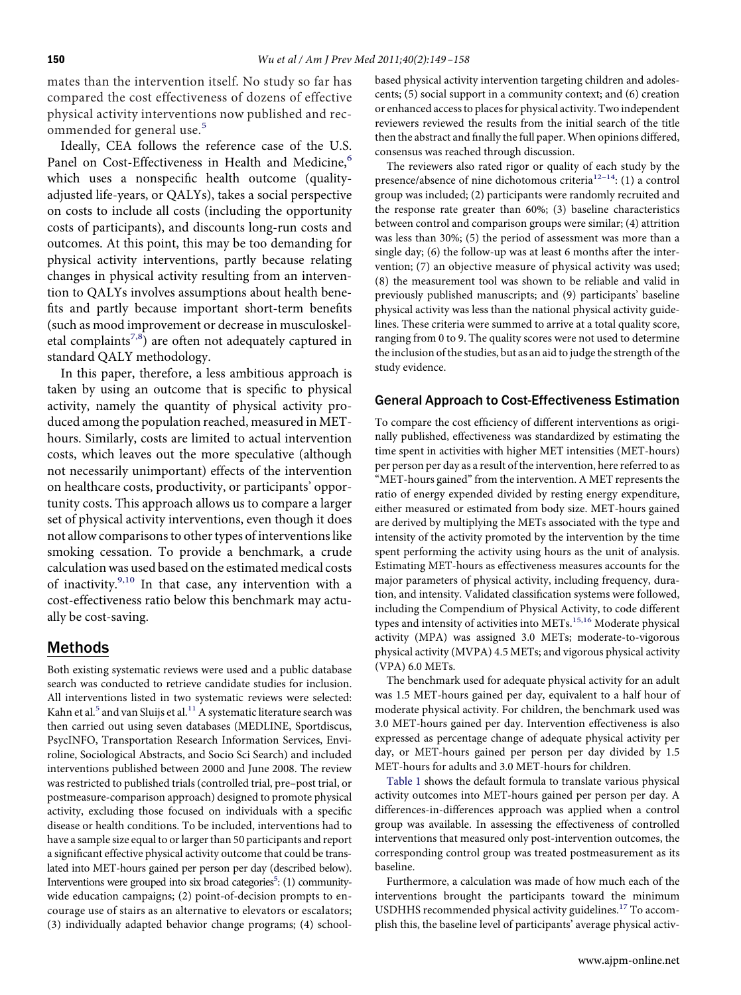mates than the intervention itself. No study so far has compared the cost effectiveness of dozens of effective physical activity interventions now published and rec-ommended for general use.<sup>[5](#page-8-0)</sup>

Ideally, CEA follows the reference case of the U.S. Panel on Cost-Effectiveness in Health and Medicine,<sup>6</sup> which uses a nonspecifıc health outcome (qualityadjusted life-years, or QALYs), takes a social perspective on costs to include all costs (including the opportunity costs of participants), and discounts long-run costs and outcomes. At this point, this may be too demanding for physical activity interventions, partly because relating changes in physical activity resulting from an intervention to QALYs involves assumptions about health benefıts and partly because important short-term benefıts (such as mood improvement or decrease in musculoskeletal complaints<sup>7,8</sup>) are often not adequately captured in standard QALY methodology.

In this paper, therefore, a less ambitious approach is taken by using an outcome that is specifıc to physical activity, namely the quantity of physical activity produced among the population reached, measured in METhours. Similarly, costs are limited to actual intervention costs, which leaves out the more speculative (although not necessarily unimportant) effects of the intervention on healthcare costs, productivity, or participants' opportunity costs. This approach allows us to compare a larger set of physical activity interventions, even though it does not allow comparisons to other types of interventions like smoking cessation. To provide a benchmark, a crude calculation was used based on the estimated medical costs of inactivity.<sup>9,10</sup> In that case, any intervention with a cost-effectiveness ratio below this benchmark may actually be cost-saving.

## Methods

Both existing systematic reviews were used and a public database search was conducted to retrieve candidate studies for inclusion. All interventions listed in two systematic reviews were selected: Kahn et al.<sup>5</sup> and van Sluijs et al.<sup>11</sup> A systematic literature search was then carried out using seven databases (MEDLINE, Sportdiscus, PsycINFO, Transportation Research Information Services, Enviroline, Sociological Abstracts, and Socio Sci Search) and included interventions published between 2000 and June 2008. The review was restricted to published trials (controlled trial, pre–post trial, or postmeasure-comparison approach) designed to promote physical activity, excluding those focused on individuals with a specifıc disease or health conditions. To be included, interventions had to have a sample size equal to or larger than 50 participants and report a signifıcant effective physical activity outcome that could be translated into MET-hours gained per person per day (described below). Interventions were grouped into six broad categories<sup>5</sup>: (1) communitywide education campaigns; (2) point-of-decision prompts to encourage use of stairs as an alternative to elevators or escalators; (3) individually adapted behavior change programs; (4) schoolbased physical activity intervention targeting children and adolescents; (5) social support in a community context; and (6) creation or enhanced access to places for physical activity. Two independent reviewers reviewed the results from the initial search of the title then the abstract and fınally the full paper. When opinions differed, consensus was reached through discussion.

The reviewers also rated rigor or quality of each study by the presence/absence of nine dichotomous criteria $^{12-14}$ : (1) a control group was included; (2) participants were randomly recruited and the response rate greater than 60%; (3) baseline characteristics between control and comparison groups were similar; (4) attrition was less than 30%; (5) the period of assessment was more than a single day; (6) the follow-up was at least 6 months after the intervention; (7) an objective measure of physical activity was used; (8) the measurement tool was shown to be reliable and valid in previously published manuscripts; and (9) participants' baseline physical activity was less than the national physical activity guidelines. These criteria were summed to arrive at a total quality score, ranging from 0 to 9. The quality scores were not used to determine the inclusion of the studies, but as an aid to judge the strength of the study evidence.

#### General Approach to Cost-Effectiveness Estimation

To compare the cost effıciency of different interventions as originally published, effectiveness was standardized by estimating the time spent in activities with higher MET intensities (MET-hours) per person per day as a result of the intervention, here referred to as "MET-hours gained" from the intervention. A MET represents the ratio of energy expended divided by resting energy expenditure, either measured or estimated from body size. MET-hours gained are derived by multiplying the METs associated with the type and intensity of the activity promoted by the intervention by the time spent performing the activity using hours as the unit of analysis. Estimating MET-hours as effectiveness measures accounts for the major parameters of physical activity, including frequency, duration, and intensity. Validated classifıcation systems were followed, including the Compendium of Physical Activity, to code different types and intensity of activities into METs.<sup>[15,16](#page-8-0)</sup> Moderate physical activity (MPA) was assigned 3.0 METs; moderate-to-vigorous physical activity (MVPA) 4.5 METs; and vigorous physical activity (VPA) 6.0 METs.

The benchmark used for adequate physical activity for an adult was 1.5 MET-hours gained per day, equivalent to a half hour of moderate physical activity. For children, the benchmark used was 3.0 MET-hours gained per day. Intervention effectiveness is also expressed as percentage change of adequate physical activity per day, or MET-hours gained per person per day divided by 1.5 MET-hours for adults and 3.0 MET-hours for children.

[Table 1](#page-2-0) shows the default formula to translate various physical activity outcomes into MET-hours gained per person per day. A differences-in-differences approach was applied when a control group was available. In assessing the effectiveness of controlled interventions that measured only post-intervention outcomes, the corresponding control group was treated postmeasurement as its baseline.

Furthermore, a calculation was made of how much each of the interventions brought the participants toward the minimum USDHHS recommended physical activity guidelines.<sup>17</sup> To accomplish this, the baseline level of participants' average physical activ-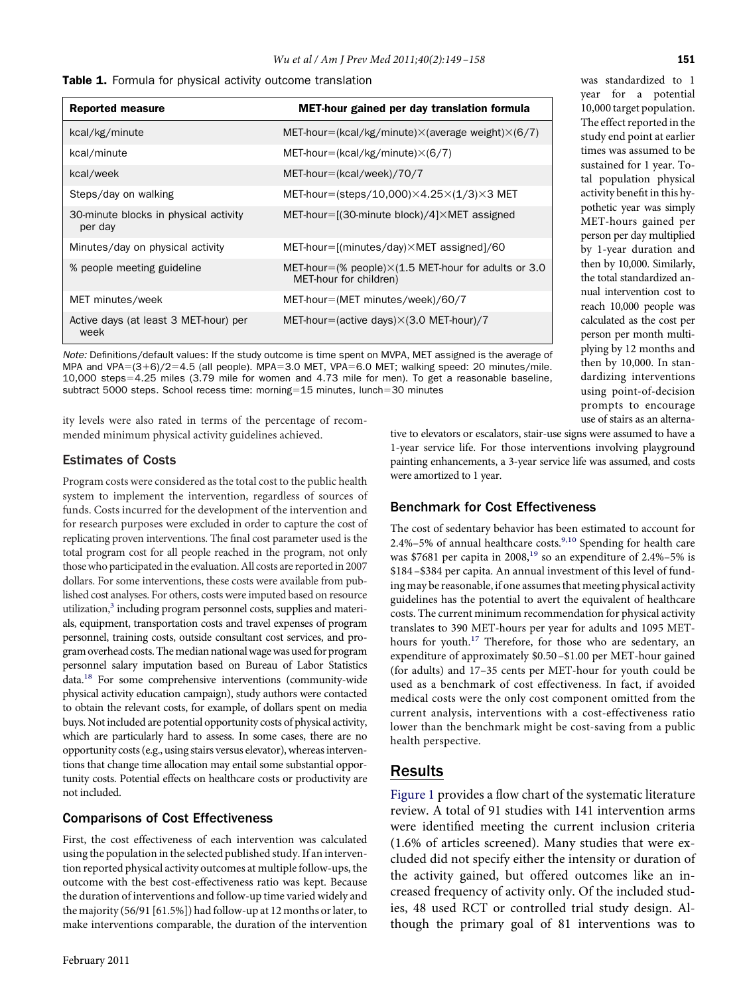<span id="page-2-0"></span>

|  |  | Table 1. Formula for physical activity outcome translation |
|--|--|------------------------------------------------------------|
|--|--|------------------------------------------------------------|

| <b>Reported measure</b>                          | MET-hour gained per day translation formula                                              |
|--------------------------------------------------|------------------------------------------------------------------------------------------|
| kcal/kg/minute                                   | MET-hour=(kcal/kg/minute) $\times$ (average weight) $\times$ (6/7)                       |
| kcal/minute                                      | $MET-hour = (kcal/kg/minute) \times (6/7)$                                               |
| kcal/week                                        | $MET$ -hour=(kcal/week)/70/7                                                             |
| Steps/day on walking                             | MET-hour=(steps/10,000) $\times$ 4.25 $\times$ (1/3) $\times$ 3 MET                      |
| 30-minute blocks in physical activity<br>per day | MET-hour= $(30$ -minute block $)/4$   $\times$ MET assigned                              |
| Minutes/day on physical activity                 | $MET$ -hour=[(minutes/day) $\times$ MET assigned]/60                                     |
| % people meeting guideline                       | MET-hour= $%$ people) $\times$ (1.5 MET-hour for adults or 3.0<br>MET-hour for children) |
| MET minutes/week                                 | MET-hour=(MET minutes/week)/60/7                                                         |
| Active days (at least 3 MET-hour) per<br>week    | MET-hour=(active days) $\times$ (3.0 MET-hour)/7                                         |

*Note:* Definitions/default values: If the study outcome is time spent on MVPA, MET assigned is the average of MPA and  $VPA=(3+6)/2=4.5$  (all people). MPA=3.0 MET, VPA=6.0 MET; walking speed: 20 minutes/mile. 10,000 steps=4.25 miles (3.79 mile for women and 4.73 mile for men). To get a reasonable baseline, subtract 5000 steps. School recess time: morning=15 minutes, lunch=30 minutes

ity levels were also rated in terms of the percentage of recommended minimum physical activity guidelines achieved.

#### Estimates of Costs

Program costs were considered as the total cost to the public health system to implement the intervention, regardless of sources of funds. Costs incurred for the development of the intervention and for research purposes were excluded in order to capture the cost of replicating proven interventions. The fınal cost parameter used is the total program cost for all people reached in the program, not only those who participated in the evaluation. All costs are reported in 2007 dollars. For some interventions, these costs were available from published cost analyses. For others, costs were imputed based on resource utilization,<sup>3</sup> including program personnel costs, supplies and materials, equipment, transportation costs and travel expenses of program personnel, training costs, outside consultant cost services, and program overhead costs. The median national wage was used for program personnel salary imputation based on Bureau of Labor Statistics data[.18](#page-8-0) For some comprehensive interventions (community-wide physical activity education campaign), study authors were contacted to obtain the relevant costs, for example, of dollars spent on media buys. Not included are potential opportunity costs of physical activity, which are particularly hard to assess. In some cases, there are no opportunity costs (e.g., using stairs versus elevator), whereas interventions that change time allocation may entail some substantial opportunity costs. Potential effects on healthcare costs or productivity are not included.

#### Comparisons of Cost Effectiveness

First, the cost effectiveness of each intervention was calculated using the population in the selected published study. If an intervention reported physical activity outcomes at multiple follow-ups, the outcome with the best cost-effectiveness ratio was kept. Because the duration of interventions and follow-up time varied widely and the majority (56/91 [61.5%]) had follow-up at 12 months or later, to make interventions comparable, the duration of the intervention

tive to elevators or escalators, stair-use signs were assumed to have a 1-year service life. For those interventions involving playground painting enhancements, a 3-year service life was assumed, and costs were amortized to 1 year.

#### Benchmark for Cost Effectiveness

The cost of sedentary behavior has been estimated to account for 2.4%–5% of annual healthcare costs. $9,10$  Spending for health care was \$7681 per capita in 2008,<sup>[19](#page-8-0)</sup> so an expenditure of 2.4%-5% is \$184 –\$384 per capita. An annual investment of this level of funding may be reasonable, if one assumes that meeting physical activity guidelines has the potential to avert the equivalent of healthcare costs. The current minimum recommendation for physical activity translates to 390 MET-hours per year for adults and 1095 MET-hours for youth.<sup>[17](#page-8-0)</sup> Therefore, for those who are sedentary, an expenditure of approximately \$0.50 –\$1.00 per MET-hour gained (for adults) and 17–35 cents per MET-hour for youth could be used as a benchmark of cost effectiveness. In fact, if avoided medical costs were the only cost component omitted from the current analysis, interventions with a cost-effectiveness ratio lower than the benchmark might be cost-saving from a public health perspective.

## Results

[Figure 1](#page-3-0) provides a flow chart of the systematic literature review. A total of 91 studies with 141 intervention arms were identifıed meeting the current inclusion criteria (1.6% of articles screened). Many studies that were excluded did not specify either the intensity or duration of the activity gained, but offered outcomes like an increased frequency of activity only. Of the included studies, 48 used RCT or controlled trial study design. Although the primary goal of 81 interventions was to

was standardized to 1 year for a potential 10,000 target population. The effect reported in the study end point at earlier times was assumed to be sustained for 1 year. Total population physical activity benefıt in this hypothetic year was simply MET-hours gained per person per day multiplied by 1-year duration and then by 10,000. Similarly, the total standardized annual intervention cost to reach 10,000 people was calculated as the cost per person per month multiplying by 12 months and then by 10,000. In standardizing interventions using point-of-decision prompts to encourage use of stairs as an alterna-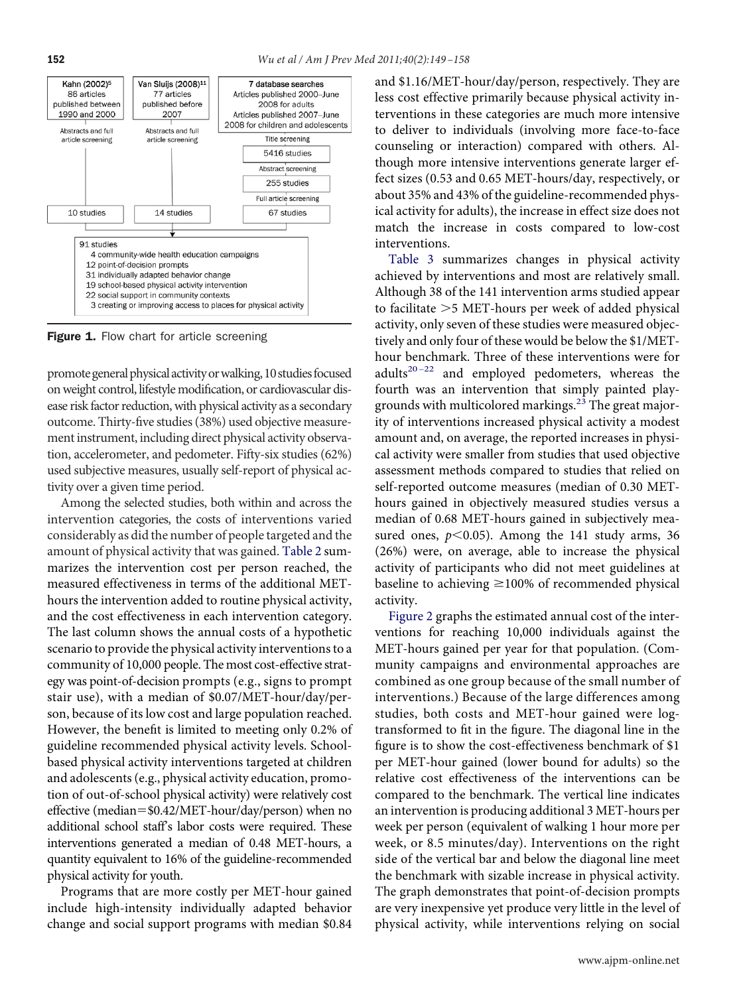<span id="page-3-0"></span>

Figure 1. Flow chart for article screening

promote general physical activity or walking, 10 studies focused on weight control, lifestyle modifıcation, or cardiovascular disease risk factor reduction, with physical activity as a secondary outcome. Thirty-fıve studies (38%) used objective measurement instrument, including direct physical activity observation, accelerometer, and pedometer. Fifty-six studies (62%) used subjective measures, usually self-report of physical activity over a given time period.

Among the selected studies, both within and across the intervention categories, the costs of interventions varied considerably as did the number of people targeted and the amount of physical activity that was gained. [Table 2](#page-4-0) summarizes the intervention cost per person reached, the measured effectiveness in terms of the additional METhours the intervention added to routine physical activity, and the cost effectiveness in each intervention category. The last column shows the annual costs of a hypothetic scenario to provide the physical activity interventions to a community of 10,000 people. The most cost-effective strategy was point-of-decision prompts (e.g., signs to prompt stair use), with a median of \$0.07/MET-hour/day/person, because of its low cost and large population reached. However, the benefıt is limited to meeting only 0.2% of guideline recommended physical activity levels. Schoolbased physical activity interventions targeted at children and adolescents (e.g., physical activity education, promotion of out-of-school physical activity) were relatively cost effective (median= $$0.42/MET-hour/day/person)$  when no additional school staff's labor costs were required. These interventions generated a median of 0.48 MET-hours, a quantity equivalent to 16% of the guideline-recommended physical activity for youth.

Programs that are more costly per MET-hour gained include high-intensity individually adapted behavior change and social support programs with median \$0.84 and \$1.16/MET-hour/day/person, respectively. They are less cost effective primarily because physical activity interventions in these categories are much more intensive to deliver to individuals (involving more face-to-face counseling or interaction) compared with others. Although more intensive interventions generate larger effect sizes (0.53 and 0.65 MET-hours/day, respectively, or about 35% and 43% of the guideline-recommended physical activity for adults), the increase in effect size does not match the increase in costs compared to low-cost interventions.

[Table 3](#page-5-0) summarizes changes in physical activity achieved by interventions and most are relatively small. Although 38 of the 141 intervention arms studied appear to facilitate  $>5$  MET-hours per week of added physical activity, only seven of these studies were measured objectively and only four of these would be below the \$1/METhour benchmark. Three of these interventions were for  $adults<sup>20-22</sup>$  and employed pedometers, whereas the fourth was an intervention that simply painted playgrounds with multicolored markings.<sup>23</sup> The great majority of interventions increased physical activity a modest amount and, on average, the reported increases in physical activity were smaller from studies that used objective assessment methods compared to studies that relied on self-reported outcome measures (median of 0.30 METhours gained in objectively measured studies versus a median of 0.68 MET-hours gained in subjectively measured ones,  $p<0.05$ ). Among the 141 study arms, 36 (26%) were, on average, able to increase the physical activity of participants who did not meet guidelines at baseline to achieving  $\geq$ 100% of recommended physical activity.

[Figure 2](#page-5-0) graphs the estimated annual cost of the interventions for reaching 10,000 individuals against the MET-hours gained per year for that population. (Community campaigns and environmental approaches are combined as one group because of the small number of interventions.) Because of the large differences among studies, both costs and MET-hour gained were logtransformed to fıt in the fıgure. The diagonal line in the fıgure is to show the cost-effectiveness benchmark of \$1 per MET-hour gained (lower bound for adults) so the relative cost effectiveness of the interventions can be compared to the benchmark. The vertical line indicates an intervention is producing additional 3 MET-hours per week per person (equivalent of walking 1 hour more per week, or 8.5 minutes/day). Interventions on the right side of the vertical bar and below the diagonal line meet the benchmark with sizable increase in physical activity. The graph demonstrates that point-of-decision prompts are very inexpensive yet produce very little in the level of physical activity, while interventions relying on social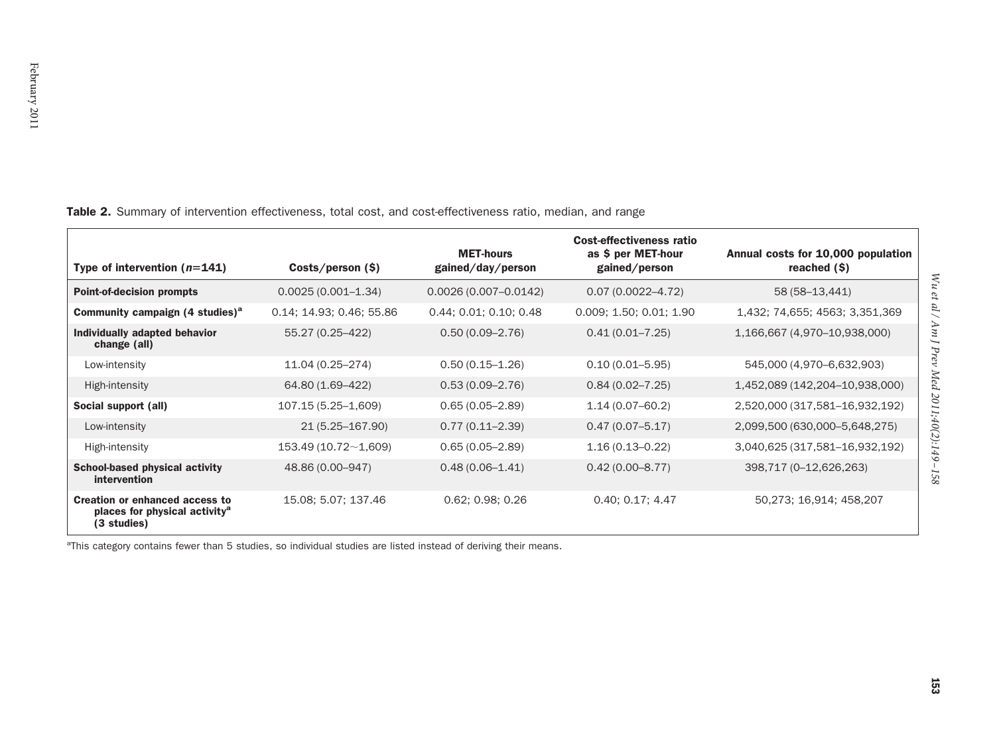| Type of intervention $(n=141)$                                                                    | Costs/person(\$)           | <b>MET-hours</b><br>gained/day/person | <b>Cost-effectiveness ratio</b><br>as \$ per MET-hour<br>gained/person | Annual costs for 10,000 population<br>reached $($ \$) |
|---------------------------------------------------------------------------------------------------|----------------------------|---------------------------------------|------------------------------------------------------------------------|-------------------------------------------------------|
| <b>Point-of-decision prompts</b>                                                                  | $0.0025(0.001 - 1.34)$     | $0.0026(0.007 - 0.0142)$              | $0.07(0.0022 - 4.72)$                                                  | 58 (58-13,441)                                        |
| Community campaign (4 studies) <sup>a</sup>                                                       | 0.14; 14.93; 0.46; 55.86   | 0.44; 0.01; 0.10; 0.48                | 0.009; 1.50; 0.01; 1.90                                                | 1,432; 74,655; 4563; 3,351,369                        |
| Individually adapted behavior<br>change (all)                                                     | 55.27 (0.25-422)           | $0.50(0.09 - 2.76)$                   | $0.41(0.01 - 7.25)$                                                    | 1,166,667 (4,970-10,938,000)                          |
| Low-intensity                                                                                     | 11.04 (0.25-274)           | $0.50(0.15 - 1.26)$                   | $0.10(0.01 - 5.95)$                                                    | 545,000 (4,970-6,632,903)                             |
| High-intensity                                                                                    | 64.80 (1.69-422)           | $0.53(0.09 - 2.76)$                   | $0.84(0.02 - 7.25)$                                                    | 1,452,089 (142,204-10,938,000)                        |
| Social support (all)                                                                              | 107.15 (5.25-1,609)        | $0.65(0.05-2.89)$                     | $1.14(0.07 - 60.2)$                                                    | 2,520,000 (317,581-16,932,192)                        |
| Low-intensity                                                                                     | 21 (5.25–167.90)           | $0.77(0.11 - 2.39)$                   | $0.47(0.07 - 5.17)$                                                    | 2,099,500 (630,000-5,648,275)                         |
| High-intensity                                                                                    | $153.49(10.72 \sim 1,609)$ | $0.65(0.05-2.89)$                     | $1.16(0.13 - 0.22)$                                                    | 3,040,625 (317,581-16,932,192)                        |
| <b>School-based physical activity</b><br>intervention                                             | 48.86 (0.00-947)           | $0.48(0.06 - 1.41)$                   | $0.42(0.00 - 8.77)$                                                    | 398,717 (0-12,626,263)                                |
| <b>Creation or enhanced access to</b><br>places for physical activity <sup>a</sup><br>(3 studies) | 15.08; 5.07; 137.46        | 0.62; 0.98; 0.26                      | 0.40; 0.17; 4.47                                                       | 50,273; 16,914; 458,207                               |

<span id="page-4-0"></span>**Table 2.** Summary of intervention effectiveness, total cost, and cost-effectiveness ratio, median, and range

<sup>a</sup>This category contains fewer than 5 studies, so individual studies are listed instead of deriving their means.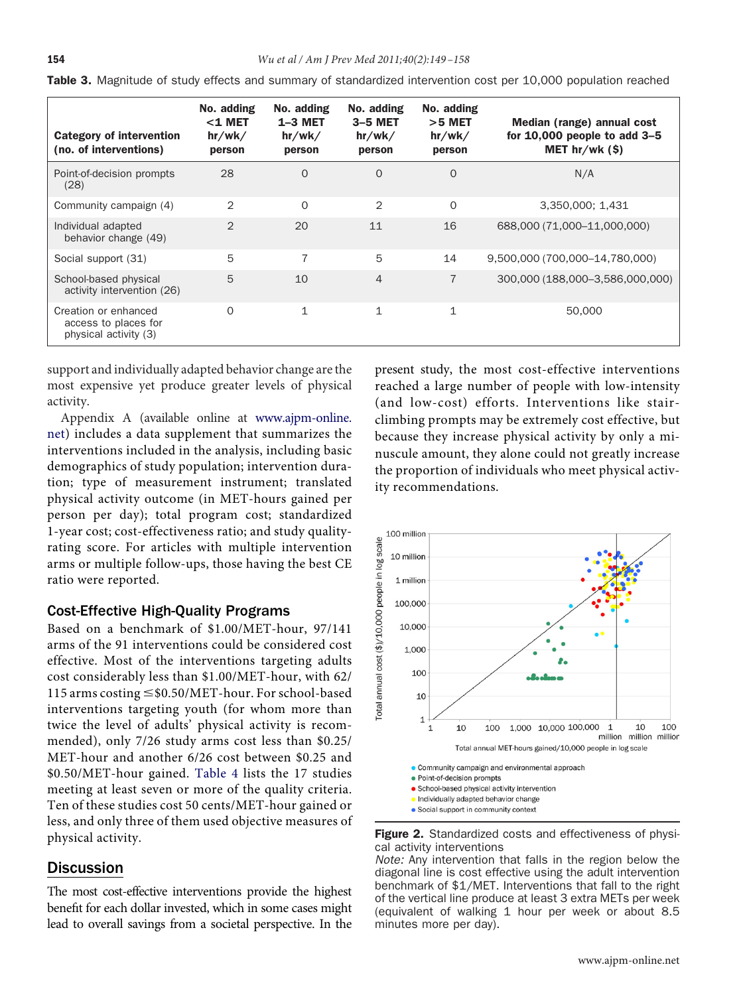| <b>Category of intervention</b><br>(no. of interventions)             | No. adding<br>$<$ 1 MET<br>hr/wk/<br>person | No. adding<br>$1-3$ MET<br>hr/wk/<br>person | No. adding<br>3-5 MET<br>hr/wk/<br>person | No. adding<br>$>5$ MET<br>hr/wk/<br>person | Median (range) annual cost<br>for $10,000$ people to add $3-5$<br>MET hr/wk (\$) |
|-----------------------------------------------------------------------|---------------------------------------------|---------------------------------------------|-------------------------------------------|--------------------------------------------|----------------------------------------------------------------------------------|
| Point-of-decision prompts<br>(28)                                     | 28                                          | $\mathbf{O}$                                | $\Omega$                                  | $\Omega$                                   | N/A                                                                              |
| Community campaign (4)                                                | 2                                           | $\Omega$                                    | $\overline{2}$                            | $\Omega$                                   | 3.350.000: 1.431                                                                 |
| Individual adapted<br>behavior change (49)                            | $\mathfrak{D}$                              | 20                                          | 11                                        | 16                                         | 688,000 (71,000-11,000,000)                                                      |
| Social support (31)                                                   | 5                                           | 7                                           | 5                                         | 14                                         | 9.500.000 (700.000-14.780.000)                                                   |
| School-based physical<br>activity intervention (26)                   | 5                                           | 10                                          | 4                                         | $\overline{7}$                             | 300,000 (188,000-3,586,000,000)                                                  |
| Creation or enhanced<br>access to places for<br>physical activity (3) | $\Omega$                                    | $\mathbf{1}$                                | 1                                         | $\mathbf{1}$                               | 50,000                                                                           |

<span id="page-5-0"></span>Table 3. Magnitude of study effects and summary of standardized intervention cost per 10,000 population reached

support and individually adapted behavior change are the most expensive yet produce greater levels of physical activity.

Appendix A (available online at [www.ajpm-online.](http://www.ajpm-online.net) [net\)](http://www.ajpm-online.net) includes a data supplement that summarizes the interventions included in the analysis, including basic demographics of study population; intervention duration; type of measurement instrument; translated physical activity outcome (in MET-hours gained per person per day); total program cost; standardized 1-year cost; cost-effectiveness ratio; and study qualityrating score. For articles with multiple intervention arms or multiple follow-ups, those having the best CE ratio were reported.

## Cost-Effective High-Quality Programs

Based on a benchmark of \$1.00/MET-hour, 97/141 arms of the 91 interventions could be considered cost effective. Most of the interventions targeting adults cost considerably less than \$1.00/MET-hour, with 62/ 115 arms costing  $\leq$  \$0.50/MET-hour. For school-based interventions targeting youth (for whom more than twice the level of adults' physical activity is recommended), only 7/26 study arms cost less than \$0.25/ MET-hour and another 6/26 cost between \$0.25 and \$0.50/MET-hour gained. [Table 4](#page-6-0) lists the 17 studies meeting at least seven or more of the quality criteria. Ten of these studies cost 50 cents/MET-hour gained or less, and only three of them used objective measures of physical activity.

## **Discussion**

The most cost-effective interventions provide the highest benefıt for each dollar invested, which in some cases might lead to overall savings from a societal perspective. In the

present study, the most cost-effective interventions reached a large number of people with low-intensity (and low-cost) efforts. Interventions like stairclimbing prompts may be extremely cost effective, but because they increase physical activity by only a minuscule amount, they alone could not greatly increase the proportion of individuals who meet physical activity recommendations.



Figure 2. Standardized costs and effectiveness of physical activity interventions

*Note:* Any intervention that falls in the region below the diagonal line is cost effective using the adult intervention benchmark of \$1/MET. Interventions that fall to the right of the vertical line produce at least 3 extra METs per week (equivalent of walking 1 hour per week or about 8.5 minutes more per day).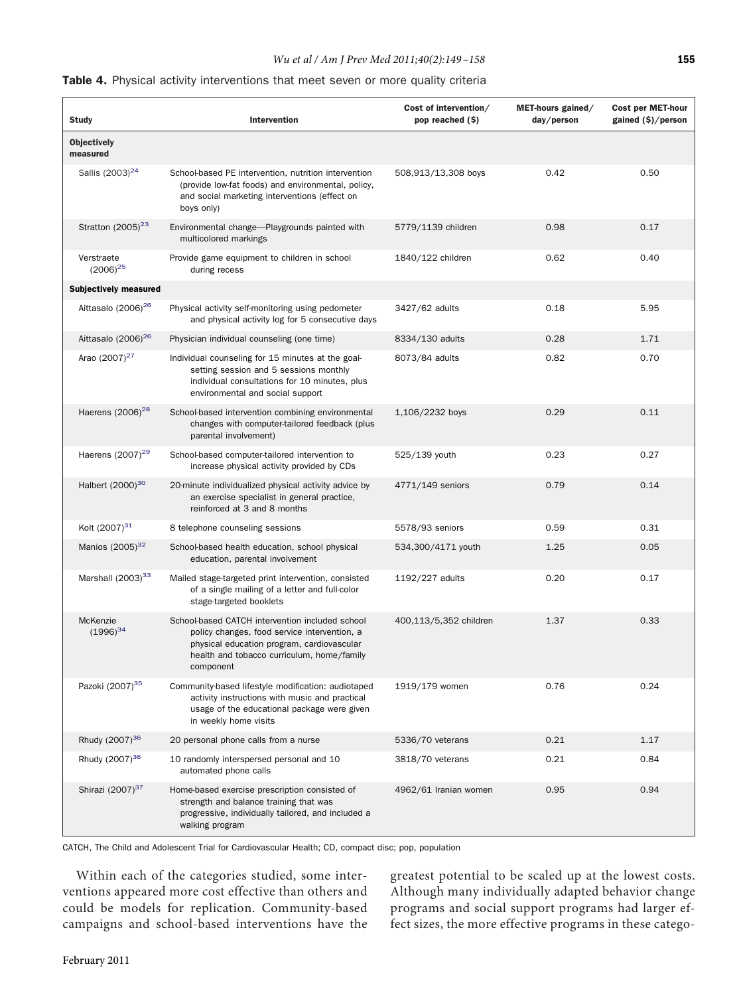#### <span id="page-6-0"></span>Table 4. Physical activity interventions that meet seven or more quality criteria

| <b>Study</b>                   | Intervention                                                                                                                                                                                             | Cost of intervention/<br>pop reached (\$) | MET-hours gained/<br>day/person | <b>Cost per MET-hour</b><br>gained (\$)/person |
|--------------------------------|----------------------------------------------------------------------------------------------------------------------------------------------------------------------------------------------------------|-------------------------------------------|---------------------------------|------------------------------------------------|
| <b>Objectively</b><br>measured |                                                                                                                                                                                                          |                                           |                                 |                                                |
| Sallis (2003) <sup>24</sup>    | School-based PE intervention, nutrition intervention<br>(provide low-fat foods) and environmental, policy,<br>and social marketing interventions (effect on<br>boys only)                                | 508,913/13,308 boys                       | 0.42                            | 0.50                                           |
| Stratton (2005) <sup>23</sup>  | Environmental change-Playgrounds painted with<br>multicolored markings                                                                                                                                   | 5779/1139 children                        | 0.98                            | 0.17                                           |
| Verstraete<br>$(2006)^{25}$    | Provide game equipment to children in school<br>during recess                                                                                                                                            | 1840/122 children                         | 0.62                            | 0.40                                           |
| <b>Subjectively measured</b>   |                                                                                                                                                                                                          |                                           |                                 |                                                |
| Aittasalo (2006) <sup>26</sup> | Physical activity self-monitoring using pedometer<br>and physical activity log for 5 consecutive days                                                                                                    | 3427/62 adults                            | 0.18                            | 5.95                                           |
| Aittasalo (2006) <sup>26</sup> | Physician individual counseling (one time)                                                                                                                                                               | 8334/130 adults                           | 0.28                            | 1.71                                           |
| Arao (2007) <sup>27</sup>      | Individual counseling for 15 minutes at the goal-<br>setting session and 5 sessions monthly<br>individual consultations for 10 minutes, plus<br>environmental and social support                         | 8073/84 adults                            | 0.82                            | 0.70                                           |
| Haerens (2006) <sup>28</sup>   | School-based intervention combining environmental<br>changes with computer-tailored feedback (plus<br>parental involvement)                                                                              | 1,106/2232 boys                           | 0.29                            | 0.11                                           |
| Haerens (2007) <sup>29</sup>   | School-based computer-tailored intervention to<br>increase physical activity provided by CDs                                                                                                             | 525/139 youth                             | 0.23                            | 0.27                                           |
| Halbert (2000) <sup>30</sup>   | 20-minute individualized physical activity advice by<br>an exercise specialist in general practice,<br>reinforced at 3 and 8 months                                                                      | 4771/149 seniors                          | 0.79                            | 0.14                                           |
| Kolt (2007) <sup>31</sup>      | 8 telephone counseling sessions                                                                                                                                                                          | 5578/93 seniors                           | 0.59                            | 0.31                                           |
| Manios (2005) <sup>32</sup>    | School-based health education, school physical<br>education, parental involvement                                                                                                                        | 534,300/4171 youth                        | 1.25                            | 0.05                                           |
| Marshall $(2003)^{33}$         | Mailed stage-targeted print intervention, consisted<br>of a single mailing of a letter and full-color<br>stage-targeted booklets                                                                         | 1192/227 adults                           | 0.20                            | 0.17                                           |
| McKenzie<br>$(1996)^{34}$      | School-based CATCH intervention included school<br>policy changes, food service intervention, a<br>physical education program, cardiovascular<br>health and tobacco curriculum, home/family<br>component | 400,113/5,352 children                    | 1.37                            | 0.33                                           |
| Pazoki (2007) <sup>35</sup>    | Community-based lifestyle modification: audiotaped<br>activity instructions with music and practical<br>usage of the educational package were given<br>in weekly home visits                             | 1919/179 women                            | 0.76                            | 0.24                                           |
| Rhudy (2007) <sup>36</sup>     | 20 personal phone calls from a nurse                                                                                                                                                                     | 5336/70 veterans                          | 0.21                            | 1.17                                           |
| Rhudy (2007) <sup>36</sup>     | 10 randomly interspersed personal and 10<br>automated phone calls                                                                                                                                        | 3818/70 veterans                          | 0.21                            | 0.84                                           |
| Shirazi (2007) <sup>37</sup>   | Home-based exercise prescription consisted of<br>strength and balance training that was<br>progressive, individually tailored, and included a<br>walking program                                         | 4962/61 Iranian women                     | 0.95                            | 0.94                                           |

CATCH, The Child and Adolescent Trial for Cardiovascular Health; CD, compact disc; pop, population

Within each of the categories studied, some interventions appeared more cost effective than others and could be models for replication. Community-based campaigns and school-based interventions have the greatest potential to be scaled up at the lowest costs. Although many individually adapted behavior change programs and social support programs had larger effect sizes, the more effective programs in these catego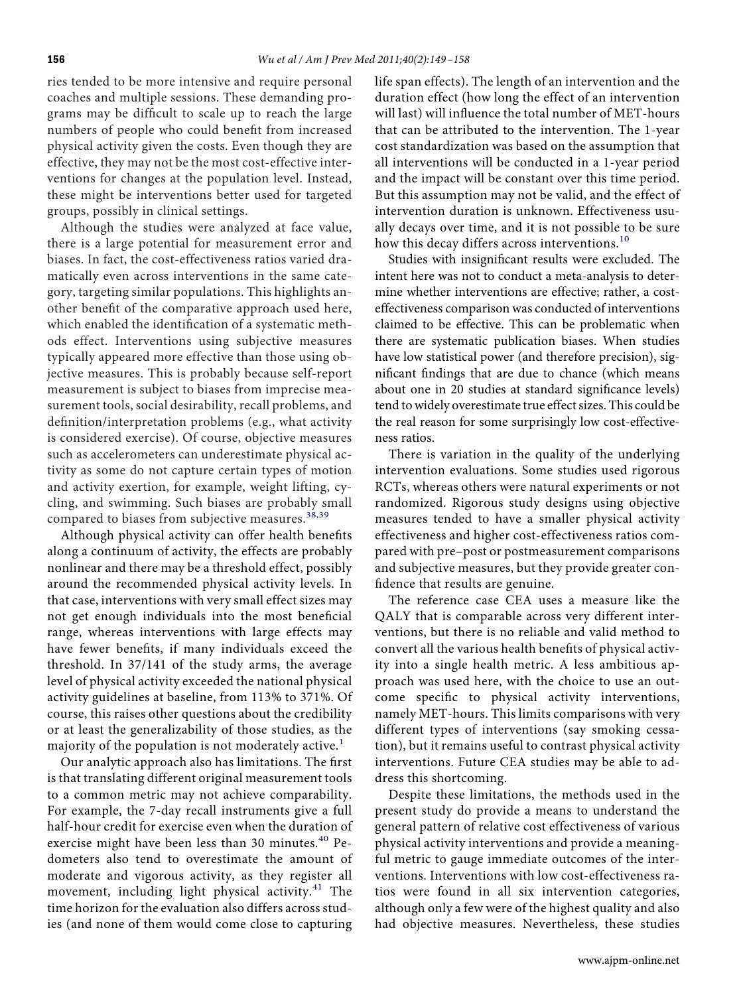ries tended to be more intensive and require personal coaches and multiple sessions. These demanding programs may be diffıcult to scale up to reach the large numbers of people who could benefıt from increased physical activity given the costs. Even though they are effective, they may not be the most cost-effective interventions for changes at the population level. Instead, these might be interventions better used for targeted groups, possibly in clinical settings.

Although the studies were analyzed at face value, there is a large potential for measurement error and biases. In fact, the cost-effectiveness ratios varied dramatically even across interventions in the same category, targeting similar populations. This highlights another benefıt of the comparative approach used here, which enabled the identifıcation of a systematic methods effect. Interventions using subjective measures typically appeared more effective than those using objective measures. This is probably because self-report measurement is subject to biases from imprecise measurement tools, social desirability, recall problems, and defınition/interpretation problems (e.g., what activity is considered exercise). Of course, objective measures such as accelerometers can underestimate physical activity as some do not capture certain types of motion and activity exertion, for example, weight lifting, cycling, and swimming. Such biases are probably small compared to biases from subjective measures.<sup>[38,39](#page-9-0)</sup>

Although physical activity can offer health benefıts along a continuum of activity, the effects are probably nonlinear and there may be a threshold effect, possibly around the recommended physical activity levels. In that case, interventions with very small effect sizes may not get enough individuals into the most benefıcial range, whereas interventions with large effects may have fewer benefıts, if many individuals exceed the threshold. In 37/141 of the study arms, the average level of physical activity exceeded the national physical activity guidelines at baseline, from 113% to 371%. Of course, this raises other questions about the credibility or at least the generalizability of those studies, as the majority of the population is not moderately active.<sup>[1](#page-8-0)</sup>

Our analytic approach also has limitations. The fırst is that translating different original measurement tools to a common metric may not achieve comparability. For example, the 7-day recall instruments give a full half-hour credit for exercise even when the duration of exercise might have been less than 30 minutes.<sup>[40](#page-9-0)</sup> Pedometers also tend to overestimate the amount of moderate and vigorous activity, as they register all movement, including light physical activity.<sup>[41](#page-9-0)</sup> The time horizon for the evaluation also differs across studies (and none of them would come close to capturing

life span effects). The length of an intervention and the duration effect (how long the effect of an intervention will last) will influence the total number of MET-hours that can be attributed to the intervention. The 1-year cost standardization was based on the assumption that all interventions will be conducted in a 1-year period and the impact will be constant over this time period. But this assumption may not be valid, and the effect of intervention duration is unknown. Effectiveness usually decays over time, and it is not possible to be sure how this decay differs across interventions.<sup>[10](#page-8-0)</sup>

Studies with insignifıcant results were excluded. The intent here was not to conduct a meta-analysis to determine whether interventions are effective; rather, a costeffectiveness comparison was conducted of interventions claimed to be effective. This can be problematic when there are systematic publication biases. When studies have low statistical power (and therefore precision), signifıcant fındings that are due to chance (which means about one in 20 studies at standard signifıcance levels) tend to widely overestimate true effect sizes. This could be the real reason for some surprisingly low cost-effectiveness ratios.

There is variation in the quality of the underlying intervention evaluations. Some studies used rigorous RCTs, whereas others were natural experiments or not randomized. Rigorous study designs using objective measures tended to have a smaller physical activity effectiveness and higher cost-effectiveness ratios compared with pre–post or postmeasurement comparisons and subjective measures, but they provide greater confıdence that results are genuine.

The reference case CEA uses a measure like the QALY that is comparable across very different interventions, but there is no reliable and valid method to convert all the various health benefıts of physical activity into a single health metric. A less ambitious approach was used here, with the choice to use an outcome specifıc to physical activity interventions, namely MET-hours. This limits comparisons with very different types of interventions (say smoking cessation), but it remains useful to contrast physical activity interventions. Future CEA studies may be able to address this shortcoming.

Despite these limitations, the methods used in the present study do provide a means to understand the general pattern of relative cost effectiveness of various physical activity interventions and provide a meaningful metric to gauge immediate outcomes of the interventions. Interventions with low cost-effectiveness ratios were found in all six intervention categories, although only a few were of the highest quality and also had objective measures. Nevertheless, these studies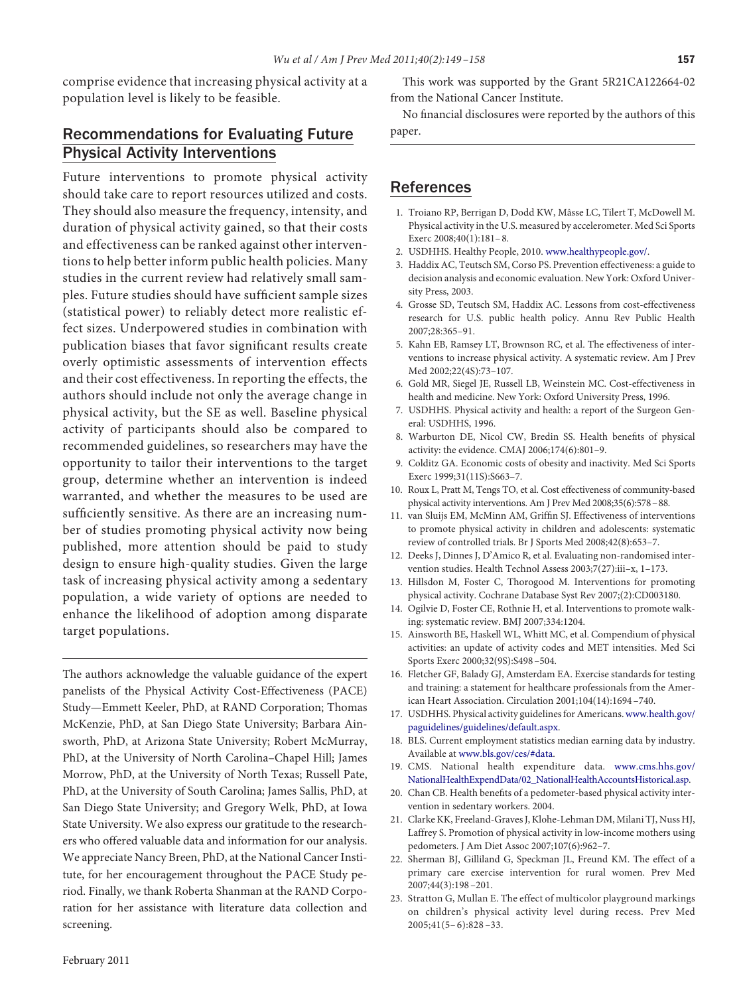<span id="page-8-0"></span>comprise evidence that increasing physical activity at a population level is likely to be feasible.

# Recommendations for Evaluating Future Physical Activity Interventions

Future interventions to promote physical activity should take care to report resources utilized and costs. They should also measure the frequency, intensity, and duration of physical activity gained, so that their costs and effectiveness can be ranked against other interventions to help better inform public health policies. Many studies in the current review had relatively small samples. Future studies should have suffıcient sample sizes (statistical power) to reliably detect more realistic effect sizes. Underpowered studies in combination with publication biases that favor signifıcant results create overly optimistic assessments of intervention effects and their cost effectiveness. In reporting the effects, the authors should include not only the average change in physical activity, but the SE as well. Baseline physical activity of participants should also be compared to recommended guidelines, so researchers may have the opportunity to tailor their interventions to the target group, determine whether an intervention is indeed warranted, and whether the measures to be used are sufficiently sensitive. As there are an increasing number of studies promoting physical activity now being published, more attention should be paid to study design to ensure high-quality studies. Given the large task of increasing physical activity among a sedentary population, a wide variety of options are needed to enhance the likelihood of adoption among disparate target populations.

The authors acknowledge the valuable guidance of the expert panelists of the Physical Activity Cost-Effectiveness (PACE) Study—Emmett Keeler, PhD, at RAND Corporation; Thomas McKenzie, PhD, at San Diego State University; Barbara Ainsworth, PhD, at Arizona State University; Robert McMurray, PhD, at the University of North Carolina–Chapel Hill; James Morrow, PhD, at the University of North Texas; Russell Pate, PhD, at the University of South Carolina; James Sallis, PhD, at San Diego State University; and Gregory Welk, PhD, at Iowa State University. We also express our gratitude to the researchers who offered valuable data and information for our analysis. We appreciate Nancy Breen, PhD, at the National Cancer Institute, for her encouragement throughout the PACE Study period. Finally, we thank Roberta Shanman at the RAND Corporation for her assistance with literature data collection and screening.

This work was supported by the Grant 5R21CA122664-02 from the National Cancer Institute.

No fınancial disclosures were reported by the authors of this paper.

## References

- 1. Troiano RP, Berrigan D, Dodd KW, Mâsse LC, Tilert T, McDowell M. Physical activity in the U.S. measured by accelerometer. Med Sci Sports Exerc 2008;40(1):181– 8.
- 2. USDHHS. Healthy People, 2010. [www.healthypeople.gov/.](http://www.healthypeople.gov/)
- 3. Haddix AC, Teutsch SM, Corso PS. Prevention effectiveness: a guide to decision analysis and economic evaluation. New York: Oxford University Press, 2003.
- 4. Grosse SD, Teutsch SM, Haddix AC. Lessons from cost-effectiveness research for U.S. public health policy. Annu Rev Public Health 2007;28:365–91.
- 5. Kahn EB, Ramsey LT, Brownson RC, et al. The effectiveness of interventions to increase physical activity. A systematic review. Am J Prev Med 2002;22(4S):73–107.
- 6. Gold MR, Siegel JE, Russell LB, Weinstein MC. Cost-effectiveness in health and medicine. New York: Oxford University Press, 1996.
- 7. USDHHS. Physical activity and health: a report of the Surgeon General: USDHHS, 1996.
- 8. Warburton DE, Nicol CW, Bredin SS. Health benefıts of physical activity: the evidence. CMAJ 2006;174(6):801–9.
- 9. Colditz GA. Economic costs of obesity and inactivity. Med Sci Sports Exerc 1999;31(11S):S663–7.
- 10. Roux L, Pratt M, Tengs TO, et al. Cost effectiveness of community-based physical activity interventions. Am J Prev Med 2008;35(6):578–88.
- 11. van Sluijs EM, McMinn AM, Griffın SJ. Effectiveness of interventions to promote physical activity in children and adolescents: systematic review of controlled trials. Br J Sports Med 2008;42(8):653–7.
- 12. Deeks J, Dinnes J, D'Amico R, et al. Evaluating non-randomised intervention studies. Health Technol Assess 2003;7(27):iii–x, 1–173.
- 13. Hillsdon M, Foster C, Thorogood M. Interventions for promoting physical activity. Cochrane Database Syst Rev 2007;(2):CD003180.
- 14. Ogilvie D, Foster CE, Rothnie H, et al. Interventions to promote walking: systematic review. BMJ 2007;334:1204.
- 15. Ainsworth BE, Haskell WL, Whitt MC, et al. Compendium of physical activities: an update of activity codes and MET intensities. Med Sci Sports Exerc 2000;32(9S):S498 –504.
- 16. Fletcher GF, Balady GJ, Amsterdam EA. Exercise standards for testing and training: a statement for healthcare professionals from the American Heart Association. Circulation 2001;104(14):1694 –740.
- 17. USDHHS. Physical activity guidelines for Americans.[www.health.gov/](http://www.health.gov/paguidelines/guidelines/default.aspx) [paguidelines/guidelines/default.aspx.](http://www.health.gov/paguidelines/guidelines/default.aspx)
- 18. BLS. Current employment statistics median earning data by industry. Available at [www.bls.gov/ces/#data.](http://www.bls.gov/ces/#data)
- 19. CMS. National health expenditure data. [www.cms.hhs.gov/](http://www.cms.hhs.gov/NationalHealthExpendData/02_NationalHealthAccountsHistorical.asp) [NationalHealthExpendData/02\\_NationalHealthAccountsHistorical.asp.](http://www.cms.hhs.gov/NationalHealthExpendData/02_NationalHealthAccountsHistorical.asp)
- 20. Chan CB. Health benefıts of a pedometer-based physical activity intervention in sedentary workers. 2004.
- 21. Clarke KK, Freeland-Graves J, Klohe-Lehman DM, Milani TJ, Nuss HJ, Laffrey S. Promotion of physical activity in low-income mothers using pedometers. J Am Diet Assoc 2007;107(6):962–7.
- 22. Sherman BJ, Gilliland G, Speckman JL, Freund KM. The effect of a primary care exercise intervention for rural women. Prev Med 2007;44(3):198 –201.
- 23. Stratton G, Mullan E. The effect of multicolor playground markings on children's physical activity level during recess. Prev Med  $2005;41(5-6):828-33.$